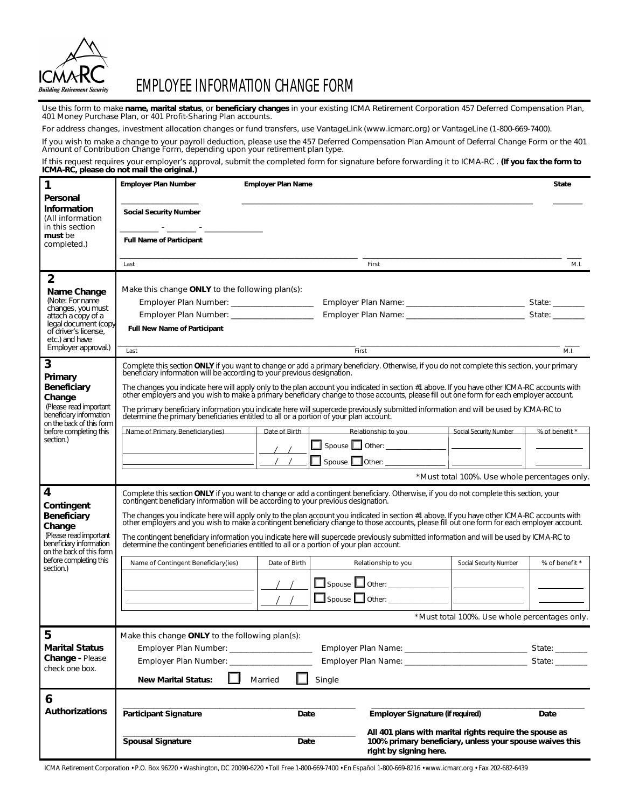

# EMPLOYEE INFORMATION CHANGE FORM

Use this form to make **name, marital status**, or **beneficiary changes** in your existing ICMA Retirement Corporation 457 Deferred Compensation Plan,<br>401 Money Purchase Plan, or 401 Profit-Sharing Plan accounts.

For address changes, investment allocation changes or fund transfers, use VantageLink (www.icmarc.org) or VantageLine (1-800-669-7400).

If you wish to make a change to your payroll deduction, please use the 457 Deferred Compensation Plan Amount of Deferral Change Form or the 401<br>Amount of Contribution Change Form, depending upon your retirement plan type.

If this request requires your employer's approval, submit the completed form for signature before forwarding it to ICMA-RC . **(If you fax the form to ICMA-RC, please do not mail the original.)**

| 1                                                                                                                                                                       | <b>Employer Plan Number</b>                                                                                                                                                                                                                                                                                                                                                                                                                                                                                                                                                                                                                                            | <b>Employer Plan Name</b> |                                                                                    |                                                         | <b>State</b>   |
|-------------------------------------------------------------------------------------------------------------------------------------------------------------------------|------------------------------------------------------------------------------------------------------------------------------------------------------------------------------------------------------------------------------------------------------------------------------------------------------------------------------------------------------------------------------------------------------------------------------------------------------------------------------------------------------------------------------------------------------------------------------------------------------------------------------------------------------------------------|---------------------------|------------------------------------------------------------------------------------|---------------------------------------------------------|----------------|
| Personal<br>Information<br>(All information<br>in this section                                                                                                          | <b>Social Security Number</b><br>しゅうしょう しゅうしょう アール・プレー                                                                                                                                                                                                                                                                                                                                                                                                                                                                                                                                                                                                                 |                           |                                                                                    |                                                         |                |
| must be<br>completed.)                                                                                                                                                  | <b>Full Name of Participant</b>                                                                                                                                                                                                                                                                                                                                                                                                                                                                                                                                                                                                                                        |                           |                                                                                    |                                                         |                |
|                                                                                                                                                                         | First<br>Last                                                                                                                                                                                                                                                                                                                                                                                                                                                                                                                                                                                                                                                          |                           |                                                                                    |                                                         | M.I.           |
| 2                                                                                                                                                                       |                                                                                                                                                                                                                                                                                                                                                                                                                                                                                                                                                                                                                                                                        |                           |                                                                                    |                                                         |                |
| Name Change<br>(Note: For name<br>changes, you must<br>attach a copy of a<br>legal document (copy<br>of driver's license.<br>etc.) and have<br>Employer approval.)      | Make this change $ONLY$ to the following plan(s):                                                                                                                                                                                                                                                                                                                                                                                                                                                                                                                                                                                                                      |                           |                                                                                    |                                                         |                |
|                                                                                                                                                                         | Employer Plan Number: __________________                                                                                                                                                                                                                                                                                                                                                                                                                                                                                                                                                                                                                               |                           |                                                                                    |                                                         |                |
|                                                                                                                                                                         | Employer Plan Number: __________________                                                                                                                                                                                                                                                                                                                                                                                                                                                                                                                                                                                                                               |                           |                                                                                    |                                                         |                |
|                                                                                                                                                                         | <b>Full New Name of Participant</b>                                                                                                                                                                                                                                                                                                                                                                                                                                                                                                                                                                                                                                    |                           |                                                                                    |                                                         |                |
|                                                                                                                                                                         | Last                                                                                                                                                                                                                                                                                                                                                                                                                                                                                                                                                                                                                                                                   |                           | First                                                                              |                                                         | M.L            |
| 3<br>Primary<br><b>Beneficiary</b><br>Change<br>(Please read important<br>beneficiary information<br>on the back of this form<br>before completing this<br>section.)    | Complete this section ONLY if you want to change or add a primary beneficiary. Otherwise, if you do not complete this section, your primary<br>beneficiary information will be according to your previous designation.                                                                                                                                                                                                                                                                                                                                                                                                                                                 |                           |                                                                                    |                                                         |                |
|                                                                                                                                                                         | The changes you indicate here will apply only to the plan account you indicated in section #1 above. If you have other ICMA-RC accounts with<br>other employers and you wish to make a primary beneficiary change to those accoun                                                                                                                                                                                                                                                                                                                                                                                                                                      |                           |                                                                                    |                                                         |                |
|                                                                                                                                                                         | The primary beneficiary information you indicate here will supercede previously submitted information and will be used by ICMA-RC to<br>determine the primary beneficiaries entitled to all or a portion of your plan account.                                                                                                                                                                                                                                                                                                                                                                                                                                         |                           |                                                                                    |                                                         |                |
|                                                                                                                                                                         | Name of Primary Beneficiary(ies)                                                                                                                                                                                                                                                                                                                                                                                                                                                                                                                                                                                                                                       | Date of Birth             | Relationship to you                                                                | Social Security Number                                  | % of benefit * |
|                                                                                                                                                                         |                                                                                                                                                                                                                                                                                                                                                                                                                                                                                                                                                                                                                                                                        |                           |                                                                                    |                                                         |                |
|                                                                                                                                                                         |                                                                                                                                                                                                                                                                                                                                                                                                                                                                                                                                                                                                                                                                        |                           | $\Box$ Spouse $\Box$ Other: $\Box$                                                 |                                                         |                |
|                                                                                                                                                                         | *Must total 100%. Use whole percentages only.                                                                                                                                                                                                                                                                                                                                                                                                                                                                                                                                                                                                                          |                           |                                                                                    |                                                         |                |
| 4<br>Contingent<br><b>Beneficiary</b><br>Change<br>(Please read important<br>beneficiary information<br>on the back of this form<br>before completing this<br>section.) | Complete this section ONLY if you want to change or add a contingent beneficiary. Otherwise, if you do not complete this section, your<br>contingent beneficiary information will be according to your previous designation.<br>The changes you indicate here will apply only to the plan account you indicated in section #1 above. If you have other ICMA-RC accounts with<br>other employers and you wish to make a contingent beneficiary change to those accounts, please fill out one form for each employer account.<br>The contingent beneficiary information you indicate here will supercede previously submitted information and will be used by ICMA-RC to |                           |                                                                                    |                                                         |                |
|                                                                                                                                                                         | determine the contingent beneficiaries entitled to all or a portion of your plan account.                                                                                                                                                                                                                                                                                                                                                                                                                                                                                                                                                                              |                           |                                                                                    |                                                         |                |
|                                                                                                                                                                         | Name of Contingent Beneficiary(ies)                                                                                                                                                                                                                                                                                                                                                                                                                                                                                                                                                                                                                                    | Date of Birth             | Relationship to you                                                                | Social Security Number                                  | % of benefit * |
|                                                                                                                                                                         |                                                                                                                                                                                                                                                                                                                                                                                                                                                                                                                                                                                                                                                                        |                           |                                                                                    |                                                         |                |
|                                                                                                                                                                         |                                                                                                                                                                                                                                                                                                                                                                                                                                                                                                                                                                                                                                                                        |                           |                                                                                    |                                                         |                |
|                                                                                                                                                                         |                                                                                                                                                                                                                                                                                                                                                                                                                                                                                                                                                                                                                                                                        |                           |                                                                                    |                                                         |                |
|                                                                                                                                                                         | *Must total 100%. Use whole percentages only.                                                                                                                                                                                                                                                                                                                                                                                                                                                                                                                                                                                                                          |                           |                                                                                    |                                                         |                |
| ხ<br><b>Marital Status</b><br>Change - Please<br>check one box.                                                                                                         | Make this change ONLY to the following plan(s):                                                                                                                                                                                                                                                                                                                                                                                                                                                                                                                                                                                                                        |                           |                                                                                    |                                                         |                |
|                                                                                                                                                                         | Employer Plan Number: ____________________                                                                                                                                                                                                                                                                                                                                                                                                                                                                                                                                                                                                                             |                           |                                                                                    |                                                         |                |
|                                                                                                                                                                         | Employer Plan Number: ____________________                                                                                                                                                                                                                                                                                                                                                                                                                                                                                                                                                                                                                             |                           |                                                                                    |                                                         |                |
|                                                                                                                                                                         | Single<br>Married<br><b>New Marital Status:</b>                                                                                                                                                                                                                                                                                                                                                                                                                                                                                                                                                                                                                        |                           |                                                                                    |                                                         |                |
| 6                                                                                                                                                                       |                                                                                                                                                                                                                                                                                                                                                                                                                                                                                                                                                                                                                                                                        |                           |                                                                                    |                                                         |                |
| <b>Authorizations</b>                                                                                                                                                   | <b>Participant Signature</b>                                                                                                                                                                                                                                                                                                                                                                                                                                                                                                                                                                                                                                           | Date                      | Employer Signature (if required)                                                   |                                                         | Date           |
|                                                                                                                                                                         |                                                                                                                                                                                                                                                                                                                                                                                                                                                                                                                                                                                                                                                                        |                           |                                                                                    | All 401 plans with marital rights require the spouse as |                |
|                                                                                                                                                                         | <b>Spousal Signature</b>                                                                                                                                                                                                                                                                                                                                                                                                                                                                                                                                                                                                                                               | Date                      | 100% primary beneficiary, unless your spouse waives this<br>right by signing here. |                                                         |                |

ICMA Retirement Corporation • P.O. Box 96220 • Washington, DC 20090-6220 • Toll Free 1-800-669-7400 • En Español 1-800-669-8216 • www.icmarc.org • Fax 202-682-6439